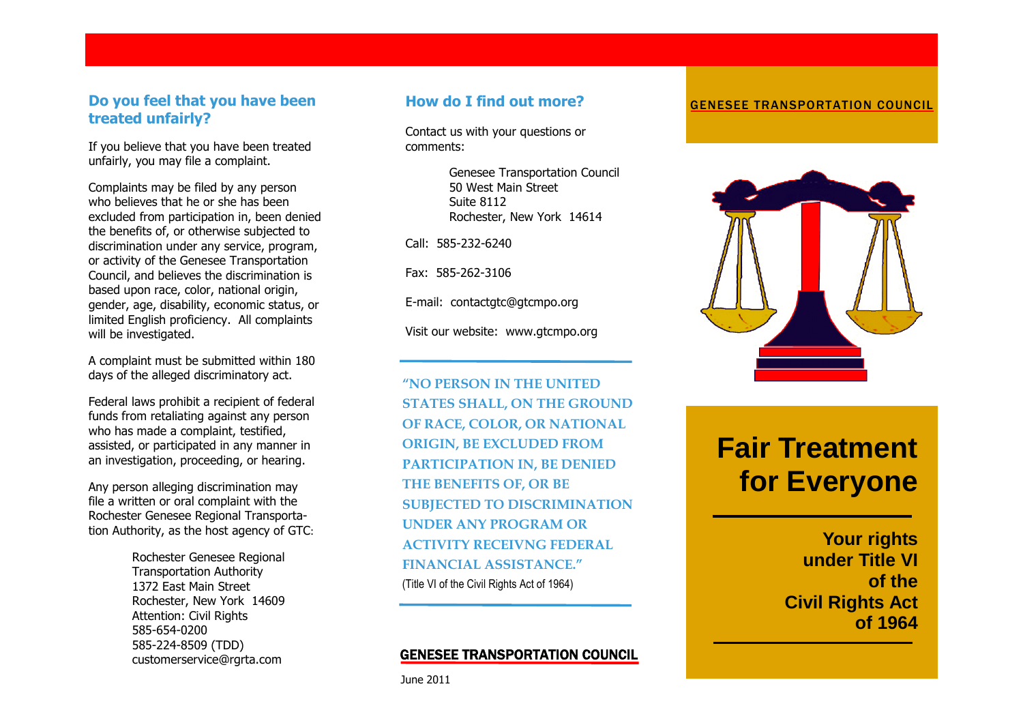### **Do you feel that you have been treated unfairly?**

If you believe that you have been treated unfairly, you may file a complaint.

Complaints may be filed by any person who believes that he or she has been excluded from participation in, been denied the benefits of, or otherwise subjected to discrimination under any service, program, or activity of the Genesee Transportation Council, and believes the discrimination is based upon race, color, national origin, gender, age, disability, economic status, or limited English proficiency. All complaints will be investigated.

A complaint must be submitted within 180 days of the alleged discriminatory act.

Federal laws prohibit a recipient of federal funds from retaliating against any person who has made a complaint, testified, assisted, or participated in any manner in an investigation, proceeding, or hearing.

Any person alleging discrimination may file a written or oral complaint with the Rochester Genesee Regional Transportation Authority, as the host agency of GTC:

> Rochester Genesee Regional Transportation Authority 1372 East Main Street Rochester, New York 14609 Attention: Civil Rights 585-654-0200 585-224-8509 (TDD) customerservice@rgrta.com

### **How do I find out more?**

Contact us with your questions or comments:

> Genesee Transportation Council 50 West Main Street Suite 8112 Rochester, New York 14614

Call: 585-232-6240

Fax: 585-262-3106

E-mail: contactgtc@gtcmpo.org

Visit our website: www.gtcmpo.org

**"NO PERSON IN THE UNITED STATES SHALL, ON THE GROUND OF RACE, COLOR, OR NATIONAL ORIGIN, BE EXCLUDED FROM PARTICIPATION IN, BE DENIED THE BENEFITS OF, OR BE SUBJECTED TO DISCRIMINATION UNDER ANY PROGRAM OR ACTIVITY RECEIVNG FEDERAL FINANCIAL ASSISTANCE."** (Title VI of the Civil Rights Act of 1964)

#### GENESEE TRANSPORTATION COUNCIL

#### GENESEE TRANSPORTATION COUNCIL



# **Fair Treatment for Everyone**

**Your rights under Title VI of the Civil Rights Act of 1964**